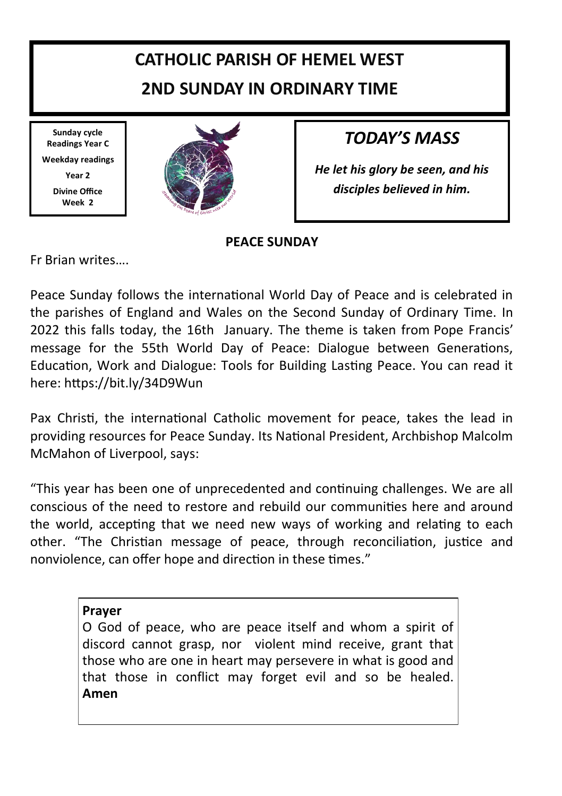# **CATHOLIC PARISH OF HEMEL WEST 2ND SUNDAY IN ORDINARY TIME**

**Sunday cycle Readings Year C Weekday readings Year 2 Divine Office Week 2**



## *TODAY'S MASS*

*He let his glory be seen, and his disciples believed in him.* 

### **PEACE SUNDAY**

Fr Brian writes….

Peace Sunday follows the international World Day of Peace and is celebrated in the parishes of England and Wales on the Second Sunday of Ordinary Time. In 2022 this falls today, the 16th January. The theme is taken from Pope Francis' message for the 55th World Day of Peace: Dialogue between Generations, Education, Work and Dialogue: Tools for Building Lasting Peace. You can read it here: https://bit.ly/34D9Wun

Pax Christi, the international Catholic movement for peace, takes the lead in providing resources for Peace Sunday. Its National President, Archbishop Malcolm McMahon of Liverpool, says:

"This year has been one of unprecedented and continuing challenges. We are all conscious of the need to restore and rebuild our communities here and around the world, accepting that we need new ways of working and relating to each other. "The Christian message of peace, through reconciliation, justice and nonviolence, can offer hope and direction in these times."

**Prayer**

O God of peace, who are peace itself and whom a spirit of discord cannot grasp, nor violent mind receive, grant that those who are one in heart may persevere in what is good and that those in conflict may forget evil and so be healed. **Amen**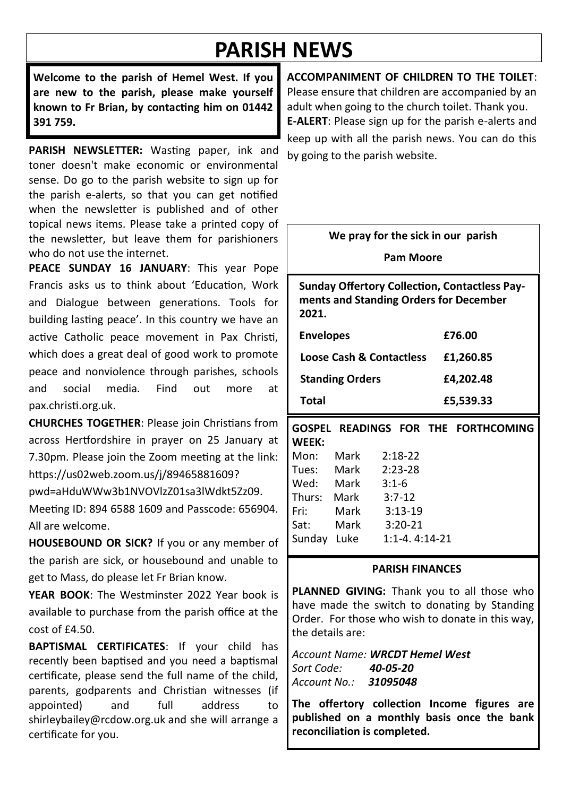# **PARISH NEWS**

**Welcome to the parish of Hemel West. If you are new to the parish, please make yourself known to Fr Brian, by contacting him on 01442 391 759.**

**PARISH NEWSLETTER:** Wasting paper, ink and toner doesn't make economic or environmental sense. Do go to the parish website to sign up for the parish e-alerts, so that you can get notified when the newsletter is published and of other topical news items. Please take a printed copy of the newsletter, but leave them for parishioners who do not use the internet.

**PEACE SUNDAY 16 JANUARY**: This year Pope Francis asks us to think about 'Education, Work and Dialogue between generations. Tools for building lasting peace'. In this country we have an active Catholic peace movement in Pax Christi, which does a great deal of good work to promote peace and nonviolence through parishes, schools and social media. Find out more at pax.christi.org.uk.

**CHURCHES TOGETHER**: Please join Christians from across Hertfordshire in prayer on 25 January at 7.30pm. Please join the Zoom meeting at the link: https://us02web.zoom.us/j/89465881609?

pwd=aHduWWw3b1NVOVlzZ01sa3lWdkt5Zz09. Meeting ID: 894 6588 1609 and Passcode: 656904. All are welcome.

**HOUSEBOUND OR SICK?** If you or any member of the parish are sick, or housebound and unable to get to Mass, do please let Fr Brian know.

**YEAR BOOK**: The Westminster 2022 Year book is available to purchase from the parish office at the  $cost of f4.50.$ 

**BAPTISMAL CERTIFICATES**: If your child has recently been baptised and you need a baptismal certificate, please send the full name of the child, parents, godparents and Christian witnesses (if appointed) and full address to shirleybailey@rcdow.org.uk and she will arrange a certificate for you.

**ACCOMPANIMENT OF CHILDREN TO THE TOILET**: Please ensure that children are accompanied by an adult when going to the church toilet. Thank you. **E-ALERT**: Please sign up for the parish e-alerts and keep up with all the parish news. You can do this by going to the parish website.

**We pray for the sick in our parish**

**Pam Moore**

**Sunday Offertory Collection, Contactless Payments and Standing Orders for December 2021.** 

| <b>Envelopes</b>                    | £76.00    |
|-------------------------------------|-----------|
| <b>Loose Cash &amp; Contactless</b> | £1.260.85 |
| <b>Standing Orders</b>              | £4.202.48 |
| Total                               | £5,539.33 |

**GOSPEL READINGS FOR THE FORTHCOMING WEEK:** Mon: Mark 2:18-22 Tues: Mark 2:23-28 Wed: Mark 3:1-6<br>Thurs: Mark 3:7-12  $Thurc$ :

| .           |      |                 |
|-------------|------|-----------------|
| Fri:        | Mark | $3:13-19$       |
| Sat:        | Mark | $3:20-21$       |
| Sunday Luke |      | $1:1-4.4:14-21$ |

#### **PARISH FINANCES**

**PLANNED GIVING:** Thank you to all those who have made the switch to donating by Standing Order. For those who wish to donate in this way, the details are:

*Account Name: WRCDT Hemel West Sort Code: 40-05-20 Account No.: 31095048*

**The offertory collection Income figures are published on a monthly basis once the bank reconciliation is completed.**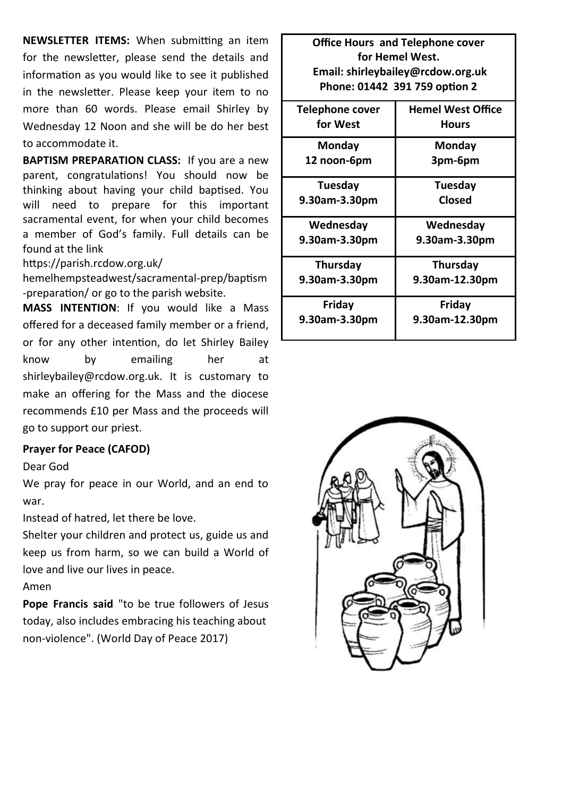**NEWSLETTER ITEMS:** When submitting an item for the newsletter, please send the details and information as you would like to see it published in the newsletter. Please keep your item to no more than 60 words. Please email Shirley by Wednesday 12 Noon and she will be do her best to accommodate it.

**BAPTISM PREPARATION CLASS:** If you are a new parent, congratulations! You should now be thinking about having your child baptised. You will need to prepare for this important sacramental event, for when your child becomes a member of God's family. Full details can be found at the link

https://parish.rcdow.org.uk/

hemelhempsteadwest/sacramental-prep/baptism -preparation/ or go to the parish website.

**MASS INTENTION**: If you would like a Mass offered for a deceased family member or a friend, or for any other intention, do let Shirley Bailey know by emailing her at shirleybailey@rcdow.org.uk. It is customary to make an offering for the Mass and the diocese recommends £10 per Mass and the proceeds will go to support our priest.

#### **Prayer for Peace (CAFOD)**

Dear God

We pray for peace in our World, and an end to war.

Instead of hatred, let there be love.

Shelter your children and protect us, guide us and keep us from harm, so we can build a World of love and live our lives in peace.

Amen

**Pope Francis said** "to be true followers of Jesus today, also includes embracing his teaching about non-violence". (World Day of Peace 2017)

**Office Hours and Telephone cover for Hemel West. Email: shirleybailey@rcdow.org.uk Phone: 01442 391 759 option 2**

| Telephone cover | <b>Hemel West Office</b> |
|-----------------|--------------------------|
| for West        | Hours                    |
| Mondav          | Monday                   |
| 12 noon-6pm     | 3pm-6pm                  |
| Tuesday         | Tuesday                  |
| 9.30am-3.30pm   | Closed                   |
| Wednesday       | Wednesday                |
| 9.30am-3.30pm   | 9.30am-3.30pm            |
| Thursday        | Thursday                 |
| 9.30am-3.30pm   | 9.30am-12.30pm           |
| Friday          | Friday                   |
| 9.30am-3.30pm   | 9.30am-12.30pm           |